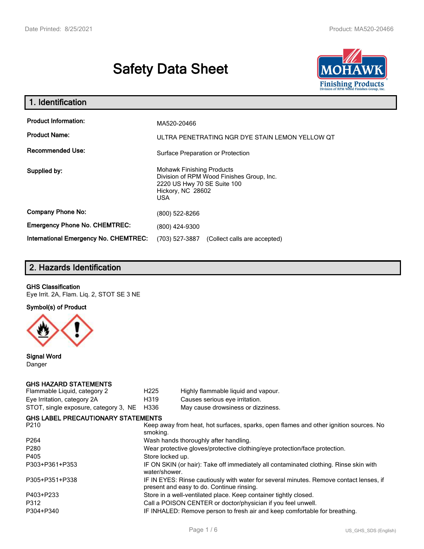# **Safety Data Sheet**



| 1. Identification                                   |                                                                                                                                                 |
|-----------------------------------------------------|-------------------------------------------------------------------------------------------------------------------------------------------------|
| <b>Product Information:</b><br><b>Product Name:</b> | MA520-20466<br>ULTRA PENETRATING NGR DYE STAIN LEMON YELLOW OT                                                                                  |
| <b>Recommended Use:</b>                             | Surface Preparation or Protection                                                                                                               |
| Supplied by:                                        | <b>Mohawk Finishing Products</b><br>Division of RPM Wood Finishes Group, Inc.<br>2220 US Hwy 70 SE Suite 100<br>Hickory, NC 28602<br><b>USA</b> |
| <b>Company Phone No:</b>                            | $(800)$ 522-8266                                                                                                                                |
| <b>Emergency Phone No. CHEMTREC:</b>                | (800) 424-9300                                                                                                                                  |
| <b>International Emergency No. CHEMTREC:</b>        | (703) 527-3887<br>(Collect calls are accepted)                                                                                                  |

# **2. Hazards Identification**

#### **GHS Classification**

Eye Irrit. 2A, Flam. Liq. 2, STOT SE 3 NE

**Symbol(s) of Product**



**Signal Word** Danger

#### **GHS HAZARD STATEMENTS**

| H <sub>225</sub>                                                                                                                    | Highly flammable liquid and vapour.                                                   |  |  |
|-------------------------------------------------------------------------------------------------------------------------------------|---------------------------------------------------------------------------------------|--|--|
| H319                                                                                                                                | Causes serious eye irritation.                                                        |  |  |
| H336                                                                                                                                | May cause drowsiness or dizziness.                                                    |  |  |
|                                                                                                                                     |                                                                                       |  |  |
| Keep away from heat, hot surfaces, sparks, open flames and other ignition sources. No<br>smoking.                                   |                                                                                       |  |  |
| Wash hands thoroughly after handling.                                                                                               |                                                                                       |  |  |
| Wear protective gloves/protective clothing/eye protection/face protection.                                                          |                                                                                       |  |  |
| Store locked up.                                                                                                                    |                                                                                       |  |  |
| water/shower.                                                                                                                       | IF ON SKIN (or hair): Take off immediately all contaminated clothing. Rinse skin with |  |  |
| IF IN EYES: Rinse cautiously with water for several minutes. Remove contact lenses, if<br>present and easy to do. Continue rinsing. |                                                                                       |  |  |
| Store in a well-ventilated place. Keep container tightly closed.                                                                    |                                                                                       |  |  |
| Call a POISON CENTER or doctor/physician if you feel unwell.                                                                        |                                                                                       |  |  |
| IF INHALED: Remove person to fresh air and keep comfortable for breathing.                                                          |                                                                                       |  |  |
|                                                                                                                                     | <b>GHS LABEL PRECAUTIONARY STATEMENTS</b>                                             |  |  |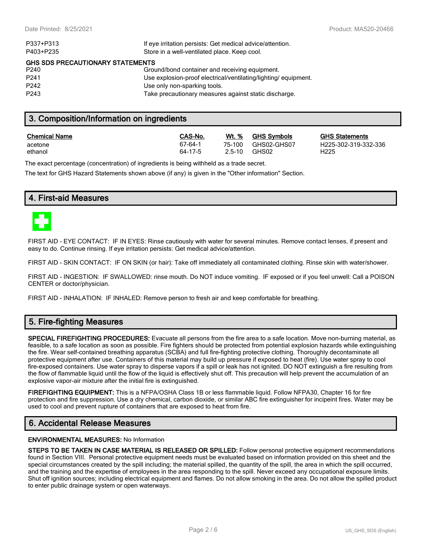| P337+P313                        | If eye irritation persists: Get medical advice/attention.       |
|----------------------------------|-----------------------------------------------------------------|
| P403+P235                        | Store in a well-ventilated place. Keep cool.                    |
| GHS SDS PRECAUTIONARY STATEMENTS |                                                                 |
| P240                             | Ground/bond container and receiving equipment.                  |
| P <sub>241</sub>                 | Use explosion-proof electrical/ventilating/lighting/ equipment. |
| P <sub>242</sub>                 | Use only non-sparking tools.                                    |
| P <sub>243</sub>                 | Take precautionary measures against static discharge.           |
|                                  |                                                                 |

### **3. Composition/Information on ingredients**

| <b>Chemical Name</b> | CAS-No. | Wt. %      | <b>GHS Symbols</b> | GHS              |
|----------------------|---------|------------|--------------------|------------------|
| acetone              | 67-64-1 | 75-100     | GHS02-GHS07        | H <sub>225</sub> |
| ethanol              | 64-17-5 | $2.5 - 10$ | GHS02              | H225             |

**CHS Statements** H225-302-319-332-336

The exact percentage (concentration) of ingredients is being withheld as a trade secret.

The text for GHS Hazard Statements shown above (if any) is given in the "Other information" Section.

### **4. First-aid Measures**



FIRST AID - EYE CONTACT: IF IN EYES: Rinse cautiously with water for several minutes. Remove contact lenses, if present and easy to do. Continue rinsing. If eye irritation persists: Get medical advice/attention.

FIRST AID - SKIN CONTACT: IF ON SKIN (or hair): Take off immediately all contaminated clothing. Rinse skin with water/shower.

FIRST AID - INGESTION: IF SWALLOWED: rinse mouth. Do NOT induce vomiting. IF exposed or if you feel unwell: Call a POISON CENTER or doctor/physician.

FIRST AID - INHALATION: IF INHALED: Remove person to fresh air and keep comfortable for breathing.

### **5. Fire-fighting Measures**

**SPECIAL FIREFIGHTING PROCEDURES:** Evacuate all persons from the fire area to a safe location. Move non-burning material, as feasible, to a safe location as soon as possible. Fire fighters should be protected from potential explosion hazards while extinguishing the fire. Wear self-contained breathing apparatus (SCBA) and full fire-fighting protective clothing. Thoroughly decontaminate all protective equipment after use. Containers of this material may build up pressure if exposed to heat (fire). Use water spray to cool fire-exposed containers. Use water spray to disperse vapors if a spill or leak has not ignited. DO NOT extinguish a fire resulting from the flow of flammable liquid until the flow of the liquid is effectively shut off. This precaution will help prevent the accumulation of an explosive vapor-air mixture after the initial fire is extinguished.

**FIREFIGHTING EQUIPMENT:** This is a NFPA/OSHA Class 1B or less flammable liquid. Follow NFPA30, Chapter 16 for fire protection and fire suppression. Use a dry chemical, carbon dioxide, or similar ABC fire extinguisher for incipeint fires. Water may be used to cool and prevent rupture of containers that are exposed to heat from fire.

### **6. Accidental Release Measures**

#### **ENVIRONMENTAL MEASURES:** No Information

**STEPS TO BE TAKEN IN CASE MATERIAL IS RELEASED OR SPILLED:** Follow personal protective equipment recommendations found in Section VIII. Personal protective equipment needs must be evaluated based on information provided on this sheet and the special circumstances created by the spill including; the material spilled, the quantity of the spill, the area in which the spill occurred, and the training and the expertise of employees in the area responding to the spill. Never exceed any occupational exposure limits. Shut off ignition sources; including electrical equipment and flames. Do not allow smoking in the area. Do not allow the spilled product to enter public drainage system or open waterways.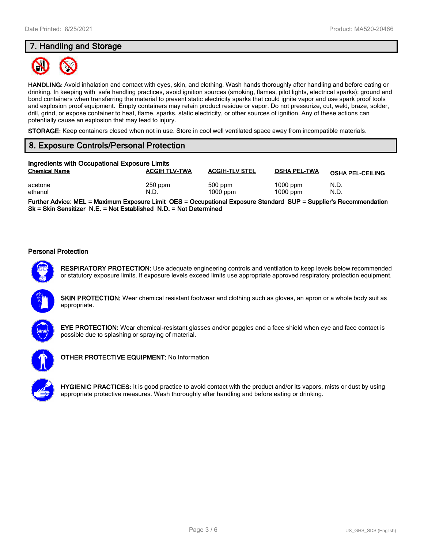### **7. Handling and Storage**



**HANDLING:** Avoid inhalation and contact with eyes, skin, and clothing. Wash hands thoroughly after handling and before eating or drinking. In keeping with safe handling practices, avoid ignition sources (smoking, flames, pilot lights, electrical sparks); ground and bond containers when transferring the material to prevent static electricity sparks that could ignite vapor and use spark proof tools and explosion proof equipment. Empty containers may retain product residue or vapor. Do not pressurize, cut, weld, braze, solder, drill, grind, or expose container to heat, flame, sparks, static electricity, or other sources of ignition. Any of these actions can potentially cause an explosion that may lead to injury.

**STORAGE:** Keep containers closed when not in use. Store in cool well ventilated space away from incompatible materials.

### **8. Exposure Controls/Personal Protection**

| Ingredients with Occupational Exposure Limits |                      |                         |                          |                         |
|-----------------------------------------------|----------------------|-------------------------|--------------------------|-------------------------|
| <b>Chemical Name</b>                          | <b>ACGIH TLV-TWA</b> | <b>ACGIH-TLV STEL</b>   | <b>OSHA PEL-TWA</b>      | <b>OSHA PEL-CEILING</b> |
| acetone<br>ethanol                            | $250$ ppm<br>N.D.    | $500$ ppm<br>$1000$ ppm | $1000$ ppm<br>$1000$ ppm | N.D.<br>N.D.            |

**Further Advice: MEL = Maximum Exposure Limit OES = Occupational Exposure Standard SUP = Supplier's Recommendation Sk = Skin Sensitizer N.E. = Not Established N.D. = Not Determined**

#### **Personal Protection**



**RESPIRATORY PROTECTION:** Use adequate engineering controls and ventilation to keep levels below recommended or statutory exposure limits. If exposure levels exceed limits use appropriate approved respiratory protection equipment.

**SKIN PROTECTION:** Wear chemical resistant footwear and clothing such as gloves, an apron or a whole body suit as appropriate.



**EYE PROTECTION:** Wear chemical-resistant glasses and/or goggles and a face shield when eye and face contact is possible due to splashing or spraying of material.



**OTHER PROTECTIVE EQUIPMENT:** No Information



**HYGIENIC PRACTICES:** It is good practice to avoid contact with the product and/or its vapors, mists or dust by using appropriate protective measures. Wash thoroughly after handling and before eating or drinking.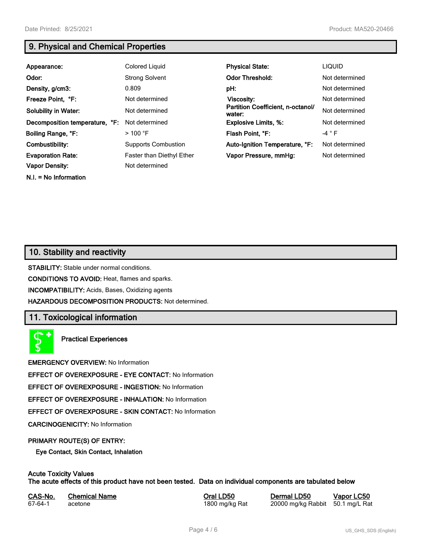**N.I. = No Information**

# **9. Physical and Chemical Properties**

| Appearance:                    | Colored Liquid             | <b>Physical State:</b>                      | <b>LIQUID</b>   |
|--------------------------------|----------------------------|---------------------------------------------|-----------------|
| Odor:                          | <b>Strong Solvent</b>      | <b>Odor Threshold:</b>                      | Not determined  |
| Density, g/cm3:                | 0.809                      | pH:                                         | Not determined  |
| Freeze Point, °F:              | Not determined             | <b>Viscosity:</b>                           | Not determined  |
| <b>Solubility in Water:</b>    | Not determined             | Partition Coefficient, n-octanol/<br>water: | Not determined  |
| Decomposition temperature, °F: | Not determined             | <b>Explosive Limits, %:</b>                 | Not determined  |
| Boiling Range, °F:             | $>100$ °F                  | Flash Point, °F:                            | -4 $^{\circ}$ F |
| Combustibility:                | <b>Supports Combustion</b> | Auto-Ignition Temperature, °F:              | Not determined  |
| <b>Evaporation Rate:</b>       | Faster than Diethyl Ether  | Vapor Pressure, mmHg:                       | Not determined  |
| <b>Vapor Density:</b>          | Not determined             |                                             |                 |

# **10. Stability and reactivity**

**STABILITY:** Stable under normal conditions.

**CONDITIONS TO AVOID:** Heat, flames and sparks.

**INCOMPATIBILITY:** Acids, Bases, Oxidizing agents

**HAZARDOUS DECOMPOSITION PRODUCTS:** Not determined.

### **11. Toxicological information**

**Practical Experiences**

**EMERGENCY OVERVIEW:** No Information

**EFFECT OF OVEREXPOSURE - EYE CONTACT:** No Information

**EFFECT OF OVEREXPOSURE - INGESTION:** No Information

**EFFECT OF OVEREXPOSURE - INHALATION:** No Information

**EFFECT OF OVEREXPOSURE - SKIN CONTACT:** No Information

**CARCINOGENICITY:** No Information

#### **PRIMARY ROUTE(S) OF ENTRY:**

**Eye Contact, Skin Contact, Inhalation**

# **Acute Toxicity Values**

**The acute effects of this product have not been tested. Data on individual components are tabulated below**

| CAS-No. | <b>Chemical Name</b> |
|---------|----------------------|
| 67-64-1 | acetone              |

**Casary Chemical Chemical LD50 Chemical LD50 Vapor LC50** 1800 mg/kg Rat 20000 mg/kg Rabbit 50.1 mg/L Rat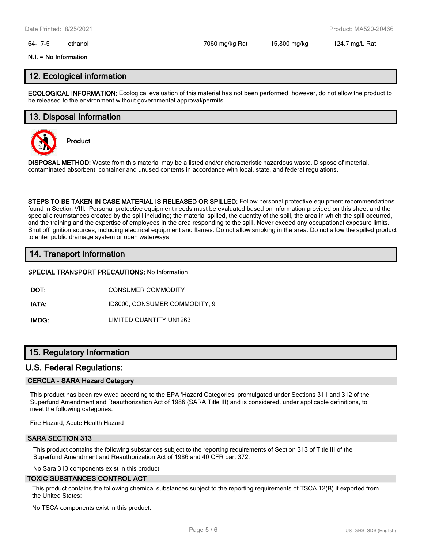#### 64-17-5 ethanol 7060 mg/kg Rat 15,800 mg/kg 124.7 mg/L Rat

#### **N.I. = No Information**

### **12. Ecological information**

**ECOLOGICAL INFORMATION:** Ecological evaluation of this material has not been performed; however, do not allow the product to be released to the environment without governmental approval/permits.

### **13. Disposal Information**



**Product**

**DISPOSAL METHOD:** Waste from this material may be a listed and/or characteristic hazardous waste. Dispose of material, contaminated absorbent, container and unused contents in accordance with local, state, and federal regulations.

**STEPS TO BE TAKEN IN CASE MATERIAL IS RELEASED OR SPILLED:** Follow personal protective equipment recommendations found in Section VIII. Personal protective equipment needs must be evaluated based on information provided on this sheet and the special circumstances created by the spill including; the material spilled, the quantity of the spill, the area in which the spill occurred, and the training and the expertise of employees in the area responding to the spill. Never exceed any occupational exposure limits. Shut off ignition sources; including electrical equipment and flames. Do not allow smoking in the area. Do not allow the spilled product to enter public drainage system or open waterways.

### **14. Transport Information**

#### **SPECIAL TRANSPORT PRECAUTIONS:** No Information

**DOT:** CONSUMER COMMODITY

**IATA:** ID8000, CONSUMER COMMODITY, 9

**IMDG:** LIMITED QUANTITY UN1263

### **15. Regulatory Information**

#### **U.S. Federal Regulations:**

#### **CERCLA - SARA Hazard Category**

This product has been reviewed according to the EPA 'Hazard Categories' promulgated under Sections 311 and 312 of the Superfund Amendment and Reauthorization Act of 1986 (SARA Title III) and is considered, under applicable definitions, to meet the following categories:

Fire Hazard, Acute Health Hazard

### **SARA SECTION 313**

This product contains the following substances subject to the reporting requirements of Section 313 of Title III of the Superfund Amendment and Reauthorization Act of 1986 and 40 CFR part 372:

No Sara 313 components exist in this product.

#### **TOXIC SUBSTANCES CONTROL ACT**

This product contains the following chemical substances subject to the reporting requirements of TSCA 12(B) if exported from the United States:

No TSCA components exist in this product.